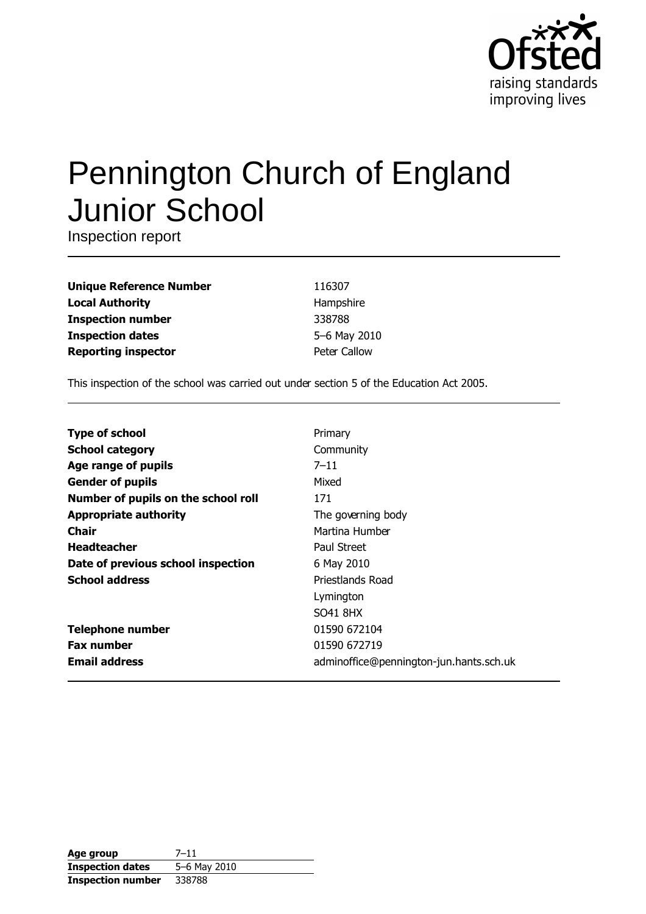

# **Pennington Church of England Junior School**

Inspection report

**Unique Reference Number Local Authority Inspection number Inspection dates Reporting inspector** 

116307 Hampshire 338788 5-6 May 2010 Peter Callow

This inspection of the school was carried out under section 5 of the Education Act 2005.

| <b>Type of school</b>               | Primary                                 |
|-------------------------------------|-----------------------------------------|
| <b>School category</b>              | Community                               |
| Age range of pupils                 | $7 - 11$                                |
| <b>Gender of pupils</b>             | Mixed                                   |
| Number of pupils on the school roll | 171                                     |
| <b>Appropriate authority</b>        | The governing body                      |
| Chair                               | Martina Humber                          |
| <b>Headteacher</b>                  | Paul Street                             |
| Date of previous school inspection  | 6 May 2010                              |
| <b>School address</b>               | Priestlands Road                        |
|                                     | Lymington                               |
|                                     | SO41 8HX                                |
| <b>Telephone number</b>             | 01590 672104                            |
| <b>Fax number</b>                   | 01590 672719                            |
| <b>Email address</b>                | adminoffice@pennington-jun.hants.sch.uk |

| Age group                | 7–11         |
|--------------------------|--------------|
| <b>Inspection dates</b>  | 5-6 May 2010 |
| <b>Inspection number</b> | 338788       |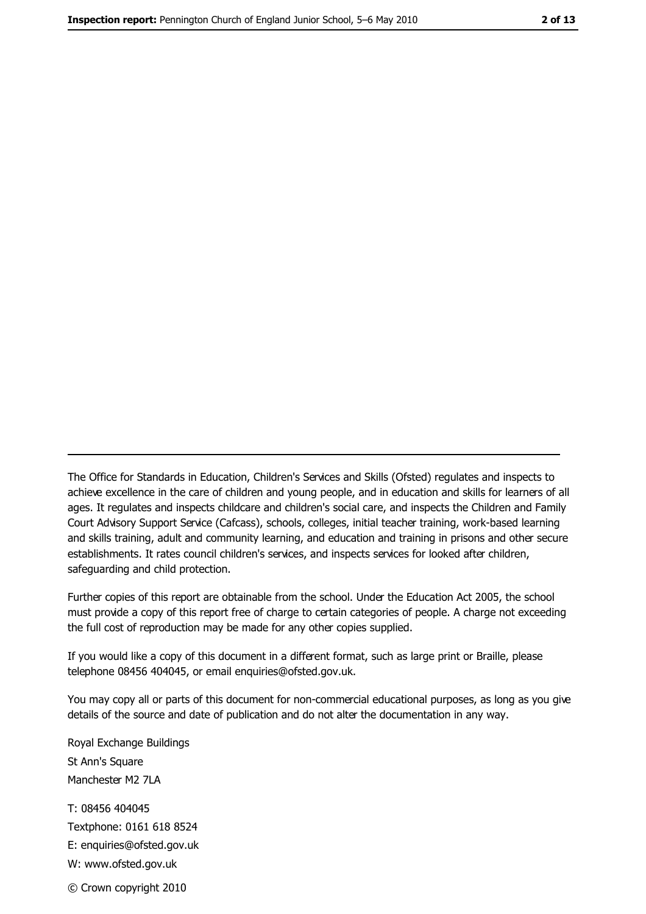The Office for Standards in Education, Children's Services and Skills (Ofsted) regulates and inspects to achieve excellence in the care of children and young people, and in education and skills for learners of all ages. It regulates and inspects childcare and children's social care, and inspects the Children and Family Court Advisory Support Service (Cafcass), schools, colleges, initial teacher training, work-based learning and skills training, adult and community learning, and education and training in prisons and other secure establishments. It rates council children's services, and inspects services for looked after children, safequarding and child protection.

Further copies of this report are obtainable from the school. Under the Education Act 2005, the school must provide a copy of this report free of charge to certain categories of people. A charge not exceeding the full cost of reproduction may be made for any other copies supplied.

If you would like a copy of this document in a different format, such as large print or Braille, please telephone 08456 404045, or email enquiries@ofsted.gov.uk.

You may copy all or parts of this document for non-commercial educational purposes, as long as you give details of the source and date of publication and do not alter the documentation in any way.

Royal Exchange Buildings St Ann's Square Manchester M2 7LA T: 08456 404045 Textphone: 0161 618 8524 E: enquiries@ofsted.gov.uk W: www.ofsted.gov.uk © Crown copyright 2010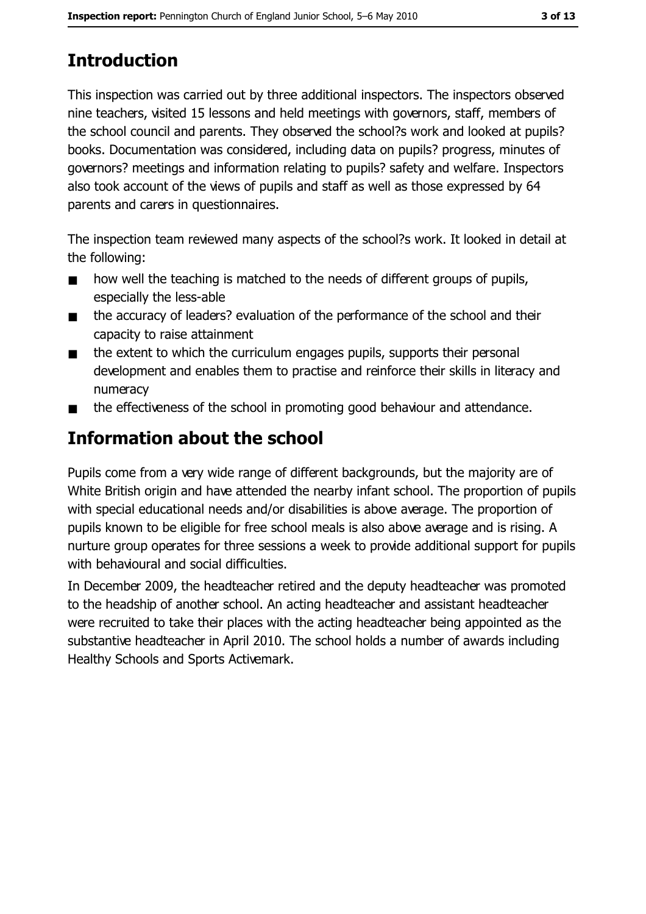# **Introduction**

This inspection was carried out by three additional inspectors. The inspectors observed nine teachers, visited 15 lessons and held meetings with governors, staff, members of the school council and parents. They observed the school?s work and looked at pupils? books. Documentation was considered, including data on pupils? progress, minutes of governors? meetings and information relating to pupils? safety and welfare. Inspectors also took account of the views of pupils and staff as well as those expressed by 64 parents and carers in questionnaires.

The inspection team reviewed many aspects of the school?s work. It looked in detail at the following:

- how well the teaching is matched to the needs of different groups of pupils,  $\blacksquare$ especially the less-able
- the accuracy of leaders? evaluation of the performance of the school and their  $\blacksquare$ capacity to raise attainment
- the extent to which the curriculum engages pupils, supports their personal  $\blacksquare$ development and enables them to practise and reinforce their skills in literacy and numeracy
- the effectiveness of the school in promoting good behaviour and attendance.  $\blacksquare$

# Information about the school

Pupils come from a very wide range of different backgrounds, but the majority are of White British origin and have attended the nearby infant school. The proportion of pupils with special educational needs and/or disabilities is above average. The proportion of pupils known to be eligible for free school meals is also above average and is rising. A nurture group operates for three sessions a week to provide additional support for pupils with behavioural and social difficulties.

In December 2009, the headteacher retired and the deputy headteacher was promoted to the headship of another school. An acting headteacher and assistant headteacher were recruited to take their places with the acting headteacher being appointed as the substantive headteacher in April 2010. The school holds a number of awards including Healthy Schools and Sports Activemark.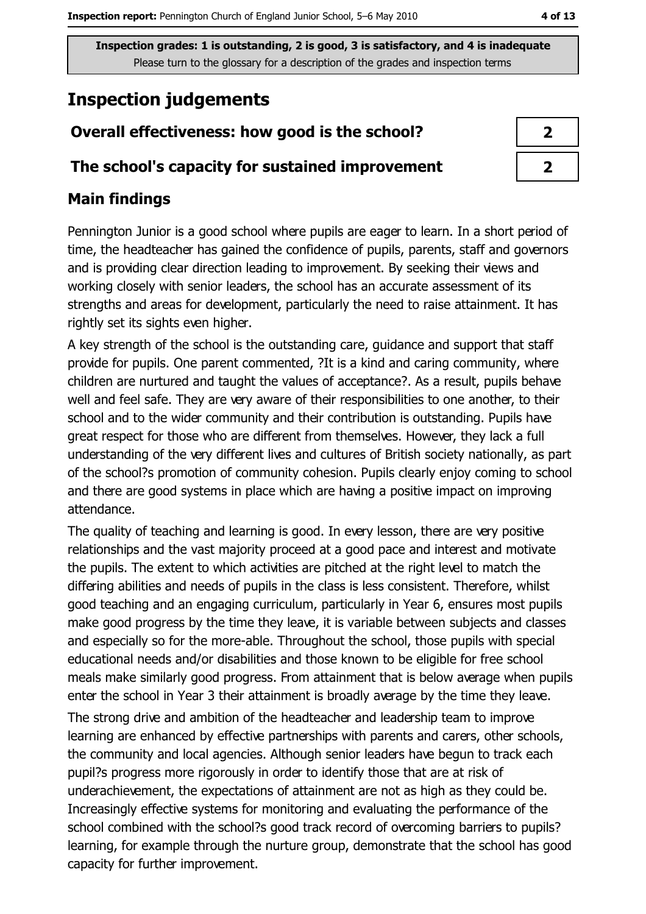# **Inspection judgements**

## Overall effectiveness: how good is the school?

## The school's capacity for sustained improvement

## **Main findings**

Pennington Junior is a good school where pupils are eager to learn. In a short period of time, the headteacher has gained the confidence of pupils, parents, staff and governors and is providing clear direction leading to improvement. By seeking their views and working closely with senior leaders, the school has an accurate assessment of its strengths and areas for development, particularly the need to raise attainment. It has rightly set its sights even higher.

A key strength of the school is the outstanding care, guidance and support that staff provide for pupils. One parent commented, ?It is a kind and caring community, where children are nurtured and taught the values of acceptance?. As a result, pupils behave well and feel safe. They are very aware of their responsibilities to one another, to their school and to the wider community and their contribution is outstanding. Pupils have great respect for those who are different from themselves. However, they lack a full understanding of the very different lives and cultures of British society nationally, as part of the school?s promotion of community cohesion. Pupils clearly enjoy coming to school and there are good systems in place which are having a positive impact on improving attendance.

The quality of teaching and learning is good. In every lesson, there are very positive relationships and the vast majority proceed at a good pace and interest and motivate the pupils. The extent to which activities are pitched at the right level to match the differing abilities and needs of pupils in the class is less consistent. Therefore, whilst good teaching and an engaging curriculum, particularly in Year 6, ensures most pupils make good progress by the time they leave, it is variable between subjects and classes and especially so for the more-able. Throughout the school, those pupils with special educational needs and/or disabilities and those known to be eligible for free school meals make similarly good progress. From attainment that is below average when pupils enter the school in Year 3 their attainment is broadly average by the time they leave. The strong drive and ambition of the headteacher and leadership team to improve learning are enhanced by effective partnerships with parents and carers, other schools, the community and local agencies. Although senior leaders have begun to track each pupil?s progress more rigorously in order to identify those that are at risk of underachievement, the expectations of attainment are not as high as they could be. Increasingly effective systems for monitoring and evaluating the performance of the school combined with the school?s good track record of overcoming barriers to pupils? learning, for example through the nurture group, demonstrate that the school has good capacity for further improvement.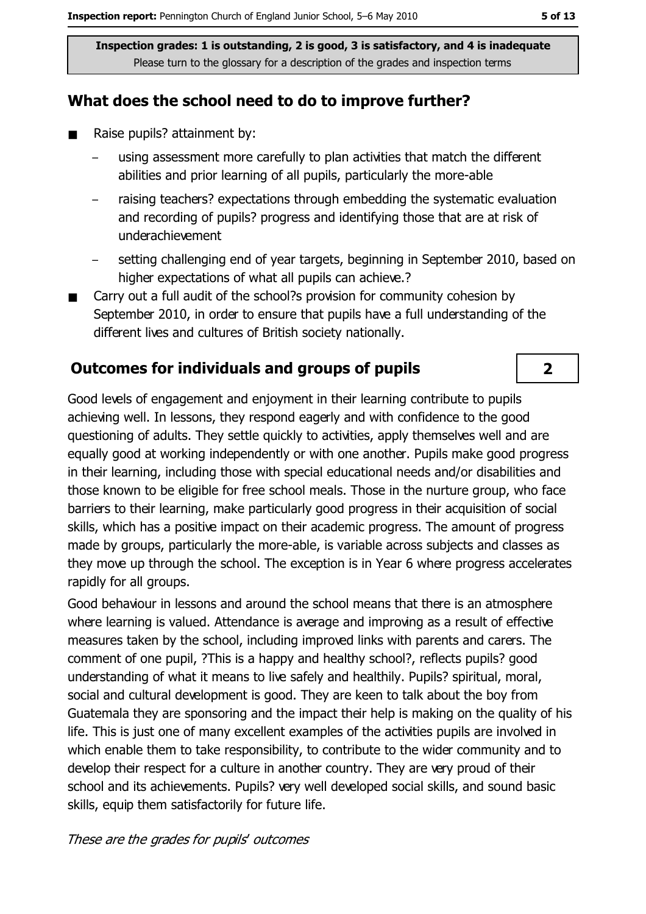## What does the school need to do to improve further?

- $\blacksquare$ Raise pupils? attainment by:
	- using assessment more carefully to plan activities that match the different abilities and prior learning of all pupils, particularly the more-able
	- raising teachers? expectations through embedding the systematic evaluation and recording of pupils? progress and identifying those that are at risk of underachievement
	- setting challenging end of year targets, beginning in September 2010, based on higher expectations of what all pupils can achieve.?
- Carry out a full audit of the school?s provision for community cohesion by  $\blacksquare$ September 2010, in order to ensure that pupils have a full understanding of the different lives and cultures of British society nationally.

## **Outcomes for individuals and groups of pupils**

Good levels of engagement and enjoyment in their learning contribute to pupils achieving well. In lessons, they respond eagerly and with confidence to the good questioning of adults. They settle quickly to activities, apply themselves well and are equally good at working independently or with one another. Pupils make good progress in their learning, including those with special educational needs and/or disabilities and those known to be eligible for free school meals. Those in the nurture group, who face barriers to their learning, make particularly good progress in their acquisition of social skills, which has a positive impact on their academic progress. The amount of progress made by groups, particularly the more-able, is variable across subjects and classes as they move up through the school. The exception is in Year 6 where progress accelerates rapidly for all groups.

Good behaviour in lessons and around the school means that there is an atmosphere where learning is valued. Attendance is average and improving as a result of effective measures taken by the school, including improved links with parents and carers. The comment of one pupil, ?This is a happy and healthy school?, reflects pupils? good understanding of what it means to live safely and healthily. Pupils? spiritual, moral, social and cultural development is good. They are keen to talk about the boy from Guatemala they are sponsoring and the impact their help is making on the quality of his life. This is just one of many excellent examples of the activities pupils are involved in which enable them to take responsibility, to contribute to the wider community and to develop their respect for a culture in another country. They are very proud of their school and its achievements. Pupils? very well developed social skills, and sound basic skills, equip them satisfactorily for future life.

#### These are the grades for pupils' outcomes

 $\overline{2}$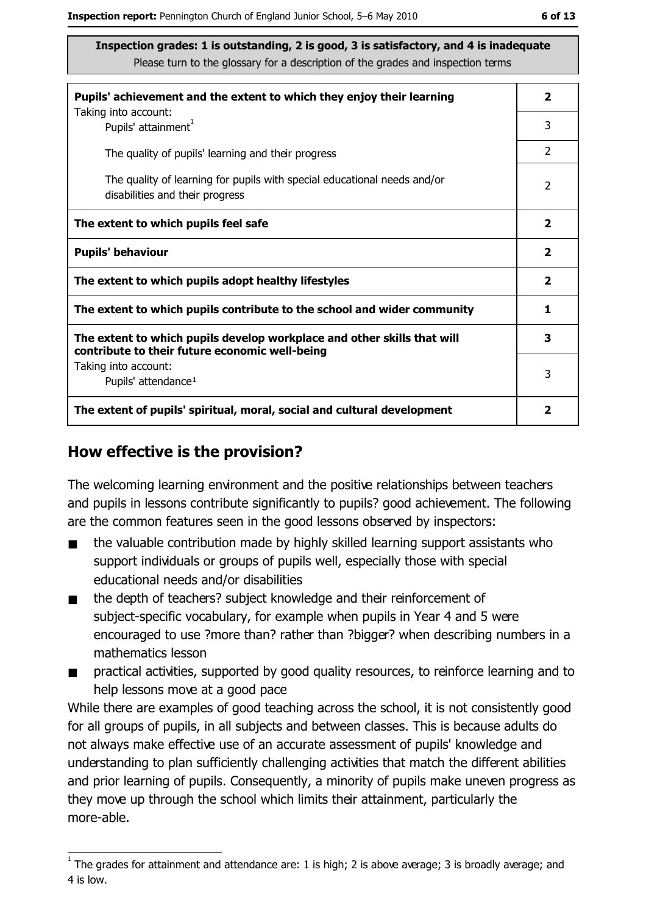| Pupils' achievement and the extent to which they enjoy their learning                                                     |               |
|---------------------------------------------------------------------------------------------------------------------------|---------------|
| Taking into account:<br>Pupils' attainment <sup>1</sup>                                                                   | 3             |
| The quality of pupils' learning and their progress                                                                        | $\mathcal{P}$ |
| The quality of learning for pupils with special educational needs and/or<br>disabilities and their progress               | 2             |
| The extent to which pupils feel safe                                                                                      |               |
| <b>Pupils' behaviour</b>                                                                                                  |               |
| The extent to which pupils adopt healthy lifestyles                                                                       |               |
| The extent to which pupils contribute to the school and wider community                                                   |               |
| The extent to which pupils develop workplace and other skills that will<br>contribute to their future economic well-being |               |
| Taking into account:<br>Pupils' attendance <sup>1</sup>                                                                   | 3             |
| The extent of pupils' spiritual, moral, social and cultural development                                                   |               |

## How effective is the provision?

The welcoming learning environment and the positive relationships between teachers and pupils in lessons contribute significantly to pupils? good achievement. The following are the common features seen in the good lessons observed by inspectors:

- the valuable contribution made by highly skilled learning support assistants who  $\blacksquare$ support individuals or groups of pupils well, especially those with special educational needs and/or disabilities
- $\blacksquare$ the depth of teachers? subject knowledge and their reinforcement of subject-specific vocabulary, for example when pupils in Year 4 and 5 were encouraged to use ?more than? rather than ?bigger? when describing numbers in a mathematics lesson
- practical activities, supported by good quality resources, to reinforce learning and to  $\blacksquare$ help lessons move at a good pace

While there are examples of good teaching across the school, it is not consistently good for all groups of pupils, in all subjects and between classes. This is because adults do not always make effective use of an accurate assessment of pupils' knowledge and understanding to plan sufficiently challenging activities that match the different abilities and prior learning of pupils. Consequently, a minority of pupils make uneven progress as they move up through the school which limits their attainment, particularly the more-able.

 $1$  The grades for attainment and attendance are: 1 is high; 2 is above average; 3 is broadly average; and 4 is low.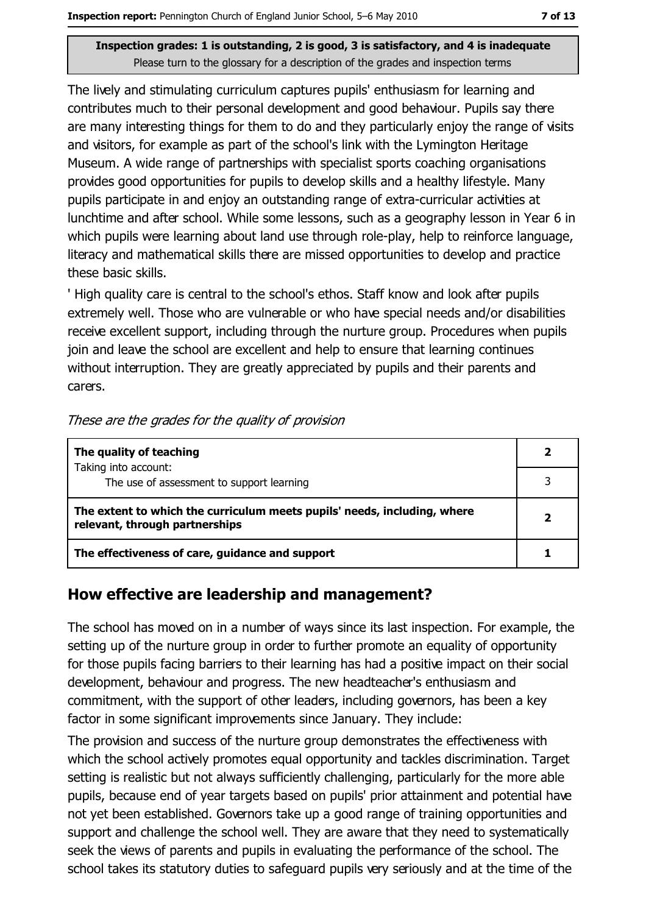The lively and stimulating curriculum captures pupils' enthusiasm for learning and contributes much to their personal development and good behaviour. Pupils say there are many interesting things for them to do and they particularly enjoy the range of visits and visitors, for example as part of the school's link with the Lymington Heritage Museum. A wide range of partnerships with specialist sports coaching organisations provides good opportunities for pupils to develop skills and a healthy lifestyle. Many pupils participate in and enjoy an outstanding range of extra-curricular activities at lunchtime and after school. While some lessons, such as a geography lesson in Year 6 in which pupils were learning about land use through role-play, help to reinforce language, literacy and mathematical skills there are missed opportunities to develop and practice these basic skills.

'High quality care is central to the school's ethos. Staff know and look after pupils extremely well. Those who are vulnerable or who have special needs and/or disabilities receive excellent support, including through the nurture group. Procedures when pupils join and leave the school are excellent and help to ensure that learning continues without interruption. They are greatly appreciated by pupils and their parents and carers.

| The quality of teaching                                                                                    |  |
|------------------------------------------------------------------------------------------------------------|--|
| Taking into account:<br>The use of assessment to support learning                                          |  |
| The extent to which the curriculum meets pupils' needs, including, where<br>relevant, through partnerships |  |
| The effectiveness of care, guidance and support                                                            |  |

## How effective are leadership and management?

The school has moved on in a number of ways since its last inspection. For example, the setting up of the nurture group in order to further promote an equality of opportunity for those pupils facing barriers to their learning has had a positive impact on their social development, behaviour and progress. The new headteacher's enthusiasm and commitment, with the support of other leaders, including governors, has been a key factor in some significant improvements since January. They include:

The provision and success of the nurture group demonstrates the effectiveness with which the school actively promotes equal opportunity and tackles discrimination. Target setting is realistic but not always sufficiently challenging, particularly for the more able pupils, because end of year targets based on pupils' prior attainment and potential have not yet been established. Governors take up a good range of training opportunities and support and challenge the school well. They are aware that they need to systematically seek the views of parents and pupils in evaluating the performance of the school. The school takes its statutory duties to safeguard pupils very seriously and at the time of the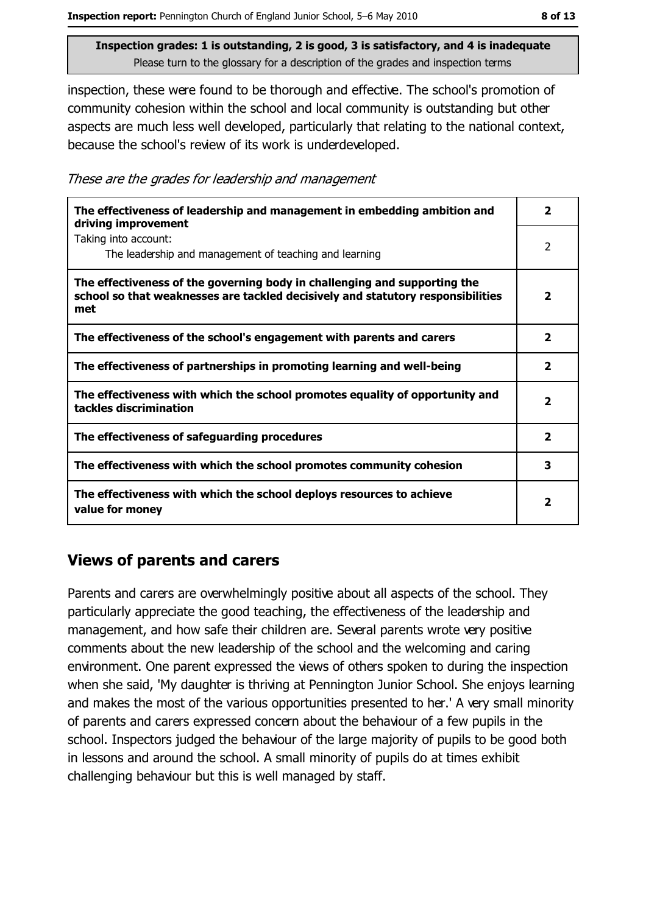inspection, these were found to be thorough and effective. The school's promotion of community cohesion within the school and local community is outstanding but other aspects are much less well developed, particularly that relating to the national context, because the school's review of its work is underdeveloped.

These are the grades for leadership and management

| The effectiveness of leadership and management in embedding ambition and<br>driving improvement                                                                     |                         |
|---------------------------------------------------------------------------------------------------------------------------------------------------------------------|-------------------------|
| Taking into account:<br>The leadership and management of teaching and learning                                                                                      | 2                       |
| The effectiveness of the governing body in challenging and supporting the<br>school so that weaknesses are tackled decisively and statutory responsibilities<br>met | 2                       |
| The effectiveness of the school's engagement with parents and carers                                                                                                | 2                       |
| The effectiveness of partnerships in promoting learning and well-being                                                                                              | $\overline{\mathbf{2}}$ |
| The effectiveness with which the school promotes equality of opportunity and<br>tackles discrimination                                                              | $\overline{\mathbf{2}}$ |
| The effectiveness of safeguarding procedures                                                                                                                        | 2                       |
| The effectiveness with which the school promotes community cohesion                                                                                                 | 3                       |
| The effectiveness with which the school deploys resources to achieve<br>value for money                                                                             |                         |

## **Views of parents and carers**

Parents and carers are overwhelmingly positive about all aspects of the school. They particularly appreciate the good teaching, the effectiveness of the leadership and management, and how safe their children are. Several parents wrote very positive comments about the new leadership of the school and the welcoming and caring environment. One parent expressed the views of others spoken to during the inspection when she said, 'My daughter is thriving at Pennington Junior School. She enjoys learning and makes the most of the various opportunities presented to her.' A very small minority of parents and carers expressed concern about the behaviour of a few pupils in the school. Inspectors judged the behaviour of the large majority of pupils to be good both in lessons and around the school. A small minority of pupils do at times exhibit challenging behaviour but this is well managed by staff.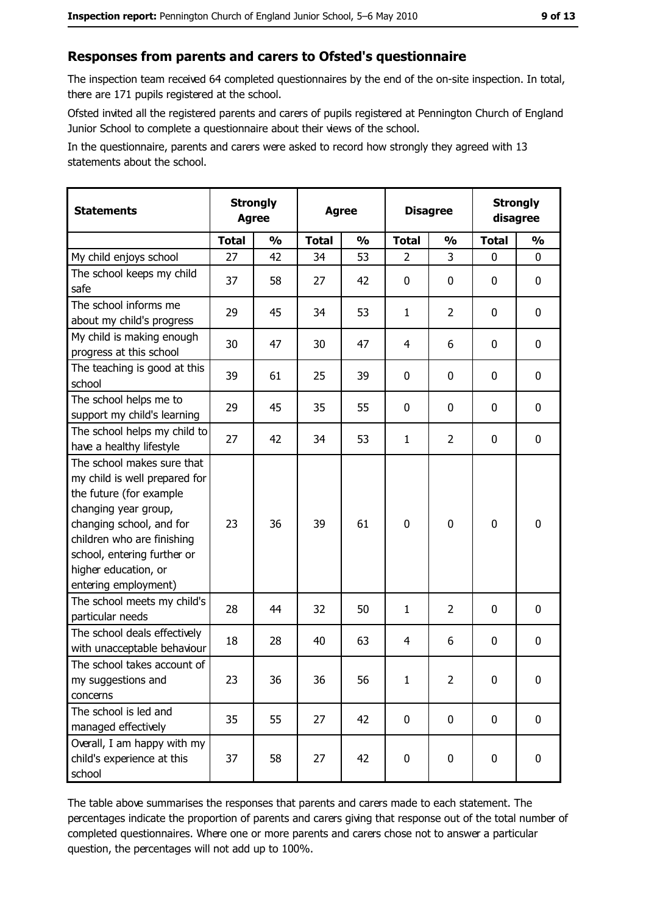## Responses from parents and carers to Ofsted's questionnaire

The inspection team received 64 completed questionnaires by the end of the on-site inspection. In total, there are 171 pupils registered at the school.

Ofsted invited all the registered parents and carers of pupils registered at Pennington Church of England Junior School to complete a questionnaire about their views of the school.

In the questionnaire, parents and carers were asked to record how strongly they agreed with 13 statements about the school.

| <b>Statements</b>                                                                                                                                                                                                                                       | <b>Strongly</b><br><b>Agree</b> |               | <b>Agree</b> |               | <b>Disagree</b> |                | <b>Strongly</b><br>disagree |                  |
|---------------------------------------------------------------------------------------------------------------------------------------------------------------------------------------------------------------------------------------------------------|---------------------------------|---------------|--------------|---------------|-----------------|----------------|-----------------------------|------------------|
|                                                                                                                                                                                                                                                         | <b>Total</b>                    | $\frac{0}{0}$ | <b>Total</b> | $\frac{0}{0}$ | <b>Total</b>    | $\frac{0}{0}$  | <b>Total</b>                | $\frac{0}{0}$    |
| My child enjoys school                                                                                                                                                                                                                                  | 27                              | 42            | 34           | 53            | $\overline{2}$  | 3              | 0                           | 0                |
| The school keeps my child<br>safe                                                                                                                                                                                                                       | 37                              | 58            | 27           | 42            | $\mathbf 0$     | 0              | 0                           | $\mathbf 0$      |
| The school informs me<br>about my child's progress                                                                                                                                                                                                      | 29                              | 45            | 34           | 53            | $\mathbf{1}$    | $\overline{2}$ | 0                           | $\mathbf 0$      |
| My child is making enough<br>progress at this school                                                                                                                                                                                                    | 30                              | 47            | 30           | 47            | 4               | 6              | 0                           | 0                |
| The teaching is good at this<br>school                                                                                                                                                                                                                  | 39                              | 61            | 25           | 39            | $\mathbf 0$     | 0              | 0                           | 0                |
| The school helps me to<br>support my child's learning                                                                                                                                                                                                   | 29                              | 45            | 35           | 55            | $\mathbf 0$     | 0              | 0                           | 0                |
| The school helps my child to<br>have a healthy lifestyle                                                                                                                                                                                                | 27                              | 42            | 34           | 53            | $\mathbf{1}$    | $\overline{2}$ | 0                           | 0                |
| The school makes sure that<br>my child is well prepared for<br>the future (for example<br>changing year group,<br>changing school, and for<br>children who are finishing<br>school, entering further or<br>higher education, or<br>entering employment) | 23                              | 36            | 39           | 61            | $\mathbf 0$     | 0              | $\mathbf 0$                 | $\boldsymbol{0}$ |
| The school meets my child's<br>particular needs                                                                                                                                                                                                         | 28                              | 44            | 32           | 50            | $\mathbf{1}$    | $\overline{2}$ | 0                           | 0                |
| The school deals effectively<br>with unacceptable behaviour                                                                                                                                                                                             | 18                              | 28            | 40           | 63            | 4               | 6              | 0                           | $\boldsymbol{0}$ |
| The school takes account of<br>my suggestions and<br>concerns                                                                                                                                                                                           | 23                              | 36            | 36           | 56            | $\mathbf{1}$    | $\overline{2}$ | 0                           | $\boldsymbol{0}$ |
| The school is led and<br>managed effectively                                                                                                                                                                                                            | 35                              | 55            | 27           | 42            | $\mathbf 0$     | 0              | 0                           | 0                |
| Overall, I am happy with my<br>child's experience at this<br>school                                                                                                                                                                                     | 37                              | 58            | 27           | 42            | $\mathbf 0$     | 0              | $\mathbf 0$                 | 0                |

The table above summarises the responses that parents and carers made to each statement. The percentages indicate the proportion of parents and carers giving that response out of the total number of completed questionnaires. Where one or more parents and carers chose not to answer a particular question, the percentages will not add up to 100%.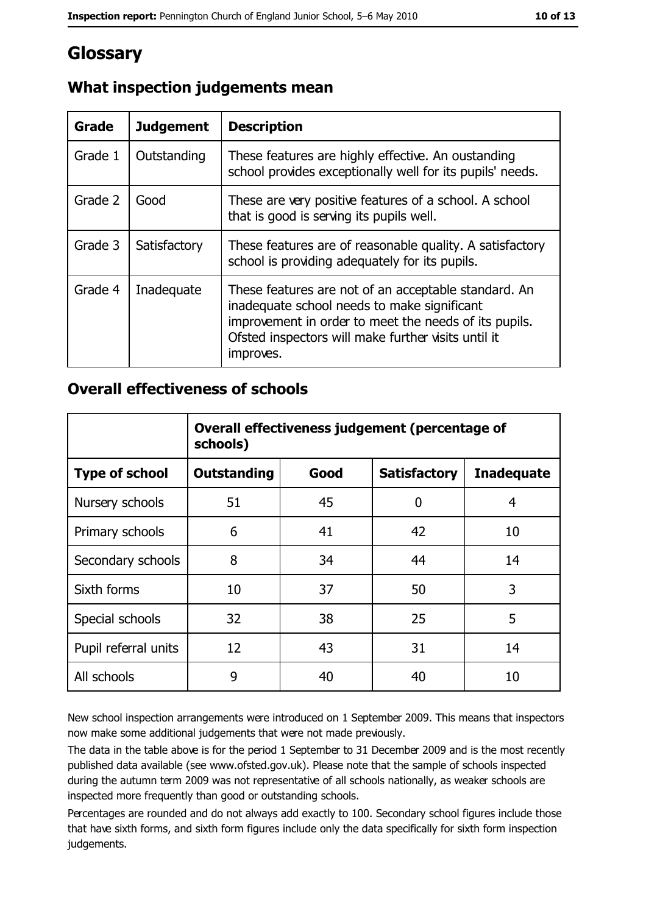# Glossary

| Grade   | <b>Judgement</b> | <b>Description</b>                                                                                                                                                                                                               |  |
|---------|------------------|----------------------------------------------------------------------------------------------------------------------------------------------------------------------------------------------------------------------------------|--|
| Grade 1 | Outstanding      | These features are highly effective. An oustanding<br>school provides exceptionally well for its pupils' needs.                                                                                                                  |  |
| Grade 2 | Good             | These are very positive features of a school. A school<br>that is good is serving its pupils well.                                                                                                                               |  |
| Grade 3 | Satisfactory     | These features are of reasonable quality. A satisfactory<br>school is providing adequately for its pupils.                                                                                                                       |  |
| Grade 4 | Inadequate       | These features are not of an acceptable standard. An<br>inadequate school needs to make significant<br>improvement in order to meet the needs of its pupils.<br>Ofsted inspectors will make further visits until it<br>improves. |  |

## What inspection judgements mean

## **Overall effectiveness of schools**

|                       | Overall effectiveness judgement (percentage of<br>schools) |      |                     |                   |
|-----------------------|------------------------------------------------------------|------|---------------------|-------------------|
| <b>Type of school</b> | <b>Outstanding</b>                                         | Good | <b>Satisfactory</b> | <b>Inadequate</b> |
| Nursery schools       | 51                                                         | 45   | 0                   | 4                 |
| Primary schools       | 6                                                          | 41   | 42                  | 10                |
| Secondary schools     | 8                                                          | 34   | 44                  | 14                |
| Sixth forms           | 10                                                         | 37   | 50                  | 3                 |
| Special schools       | 32                                                         | 38   | 25                  | 5                 |
| Pupil referral units  | 12                                                         | 43   | 31                  | 14                |
| All schools           | 9                                                          | 40   | 40                  | 10                |

New school inspection arrangements were introduced on 1 September 2009. This means that inspectors now make some additional judgements that were not made previously.

The data in the table above is for the period 1 September to 31 December 2009 and is the most recently published data available (see www.ofsted.gov.uk). Please note that the sample of schools inspected during the autumn term 2009 was not representative of all schools nationally, as weaker schools are inspected more frequently than good or outstanding schools.

Percentages are rounded and do not always add exactly to 100. Secondary school figures include those that have sixth forms, and sixth form figures include only the data specifically for sixth form inspection judgements.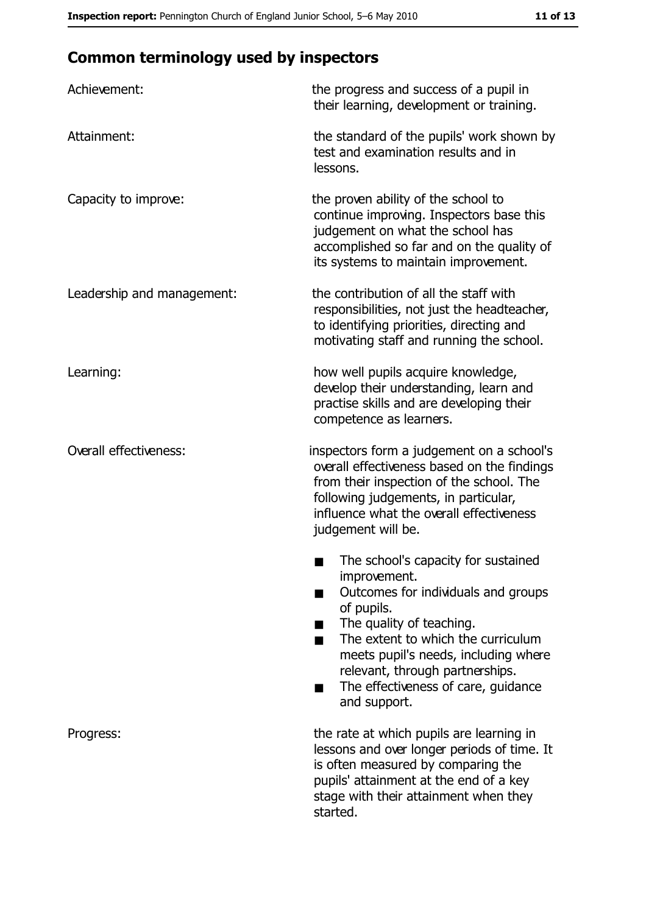# **Common terminology used by inspectors**

| Achievement:               | the progress and success of a pupil in<br>their learning, development or training.                                                                                                                                                                                                                           |
|----------------------------|--------------------------------------------------------------------------------------------------------------------------------------------------------------------------------------------------------------------------------------------------------------------------------------------------------------|
| Attainment:                | the standard of the pupils' work shown by<br>test and examination results and in<br>lessons.                                                                                                                                                                                                                 |
| Capacity to improve:       | the proven ability of the school to<br>continue improving. Inspectors base this<br>judgement on what the school has<br>accomplished so far and on the quality of<br>its systems to maintain improvement.                                                                                                     |
| Leadership and management: | the contribution of all the staff with<br>responsibilities, not just the headteacher,<br>to identifying priorities, directing and<br>motivating staff and running the school.                                                                                                                                |
| Learning:                  | how well pupils acquire knowledge,<br>develop their understanding, learn and<br>practise skills and are developing their<br>competence as learners.                                                                                                                                                          |
| Overall effectiveness:     | inspectors form a judgement on a school's<br>overall effectiveness based on the findings<br>from their inspection of the school. The<br>following judgements, in particular,<br>influence what the overall effectiveness<br>judgement will be.                                                               |
|                            | The school's capacity for sustained<br>improvement.<br>Outcomes for individuals and groups<br>of pupils.<br>The quality of teaching.<br>The extent to which the curriculum<br>meets pupil's needs, including where<br>relevant, through partnerships.<br>The effectiveness of care, guidance<br>and support. |
| Progress:                  | the rate at which pupils are learning in<br>lessons and over longer periods of time. It<br>is often measured by comparing the<br>pupils' attainment at the end of a key<br>stage with their attainment when they<br>started.                                                                                 |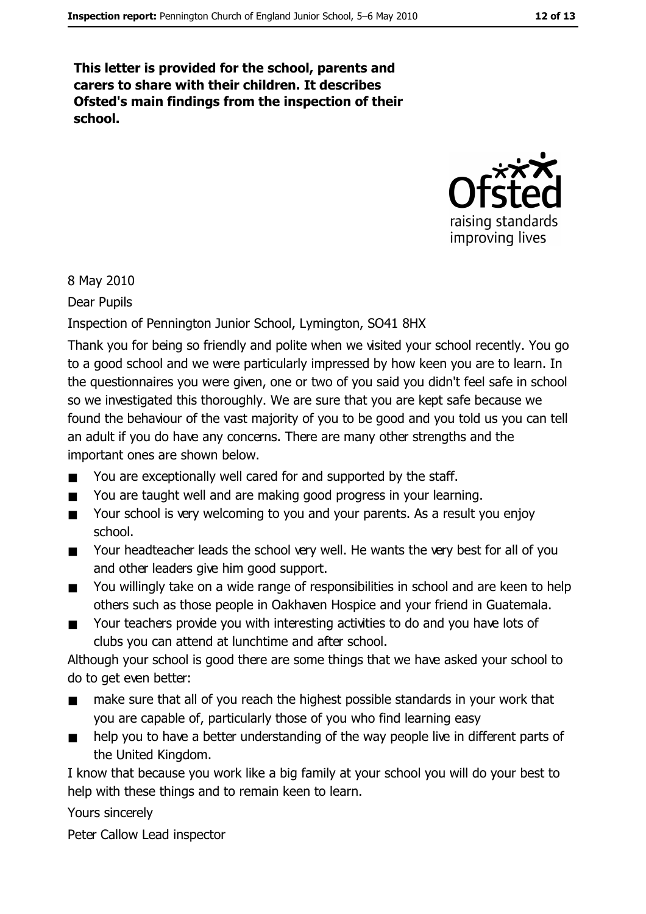This letter is provided for the school, parents and carers to share with their children. It describes Ofsted's main findings from the inspection of their school.



#### 8 May 2010

Dear Pupils

#### Inspection of Pennington Junior School, Lymington, SO41 8HX

Thank you for being so friendly and polite when we visited your school recently. You go to a good school and we were particularly impressed by how keen you are to learn. In the questionnaires you were given, one or two of you said you didn't feel safe in school so we investigated this thoroughly. We are sure that you are kept safe because we found the behaviour of the vast majority of you to be good and you told us you can tell an adult if you do have any concerns. There are many other strengths and the important ones are shown below.

- You are exceptionally well cared for and supported by the staff.  $\blacksquare$
- You are taught well and are making good progress in your learning.  $\blacksquare$
- Your school is very welcoming to you and your parents. As a result you enjoy  $\blacksquare$ school.
- Your headteacher leads the school very well. He wants the very best for all of you  $\blacksquare$ and other leaders give him good support.
- You willingly take on a wide range of responsibilities in school and are keen to help  $\blacksquare$ others such as those people in Oakhaven Hospice and your friend in Guatemala.
- Your teachers provide you with interesting activities to do and you have lots of  $\blacksquare$ clubs you can attend at lunchtime and after school.

Although your school is good there are some things that we have asked your school to do to get even better:

- make sure that all of you reach the highest possible standards in your work that  $\blacksquare$ you are capable of, particularly those of you who find learning easy
- help you to have a better understanding of the way people live in different parts of  $\blacksquare$ the United Kingdom.

I know that because you work like a big family at your school you will do your best to help with these things and to remain keen to learn.

Yours sincerely

Peter Callow Lead inspector